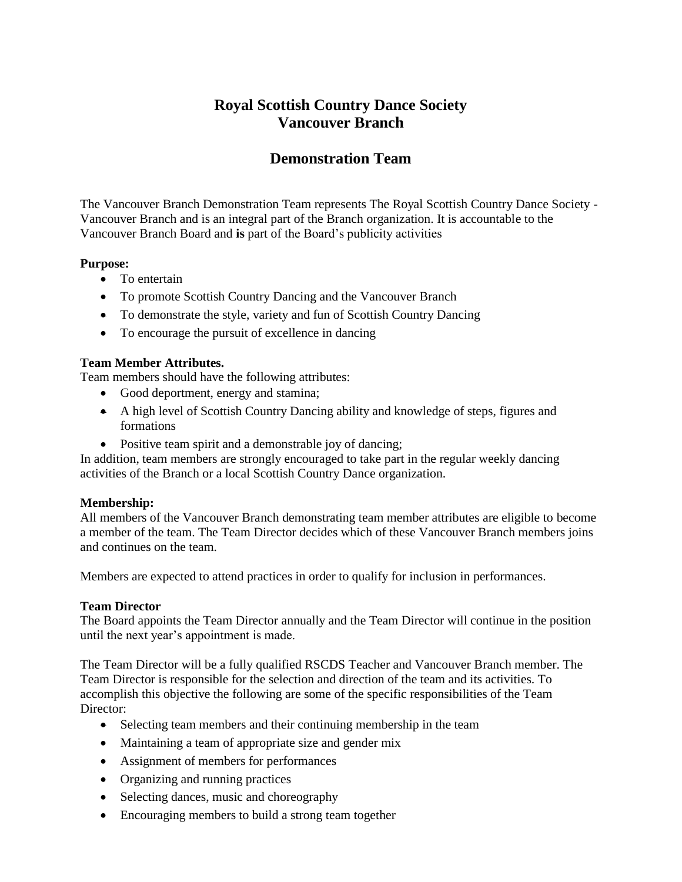# **Royal Scottish Country Dance Society Vancouver Branch**

# **Demonstration Team**

The Vancouver Branch Demonstration Team represents The Royal Scottish Country Dance Society - Vancouver Branch and is an integral part of the Branch organization. It is accountable to the Vancouver Branch Board and **is** part of the Board's publicity activities

## **Purpose:**

- To entertain
- To promote Scottish Country Dancing and the Vancouver Branch
- To demonstrate the style, variety and fun of Scottish Country Dancing
- To encourage the pursuit of excellence in dancing

#### **Team Member Attributes.**

Team members should have the following attributes:

- Good deportment, energy and stamina;
- A high level of Scottish Country Dancing ability and knowledge of steps, figures and formations
- Positive team spirit and a demonstrable joy of dancing;

In addition, team members are strongly encouraged to take part in the regular weekly dancing activities of the Branch or a local Scottish Country Dance organization.

## **Membership:**

All members of the Vancouver Branch demonstrating team member attributes are eligible to become a member of the team. The Team Director decides which of these Vancouver Branch members joins and continues on the team.

Members are expected to attend practices in order to qualify for inclusion in performances.

## **Team Director**

The Board appoints the Team Director annually and the Team Director will continue in the position until the next year's appointment is made.

The Team Director will be a fully qualified RSCDS Teacher and Vancouver Branch member. The Team Director is responsible for the selection and direction of the team and its activities. To accomplish this objective the following are some of the specific responsibilities of the Team Director:

- Selecting team members and their continuing membership in the team
- Maintaining a team of appropriate size and gender mix
- Assignment of members for performances
- Organizing and running practices
- Selecting dances, music and choreography
- Encouraging members to build a strong team together